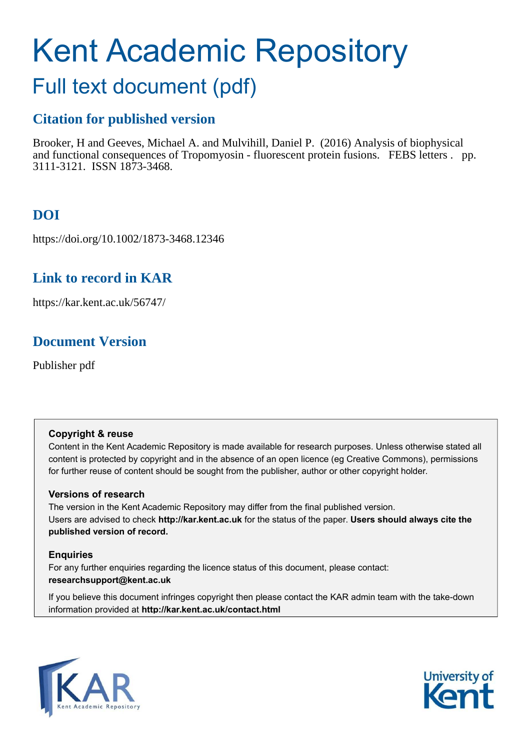# Kent Academic Repository

## Full text document (pdf)

## **Citation for published version**

Brooker, H and Geeves, Michael A. and Mulvihill, Daniel P. (2016) Analysis of biophysical and functional consequences of Tropomyosin - fluorescent protein fusions. FEBS letters . pp. 3111-3121. ISSN 1873-3468.

## **DOI**

https://doi.org/10.1002/1873-3468.12346

## **Link to record in KAR**

https://kar.kent.ac.uk/56747/

## **Document Version**

Publisher pdf

#### **Copyright & reuse**

Content in the Kent Academic Repository is made available for research purposes. Unless otherwise stated all content is protected by copyright and in the absence of an open licence (eg Creative Commons), permissions for further reuse of content should be sought from the publisher, author or other copyright holder.

#### **Versions of research**

The version in the Kent Academic Repository may differ from the final published version. Users are advised to check **http://kar.kent.ac.uk** for the status of the paper. **Users should always cite the published version of record.**

#### **Enquiries**

For any further enquiries regarding the licence status of this document, please contact: **researchsupport@kent.ac.uk**

If you believe this document infringes copyright then please contact the KAR admin team with the take-down information provided at **http://kar.kent.ac.uk/contact.html**



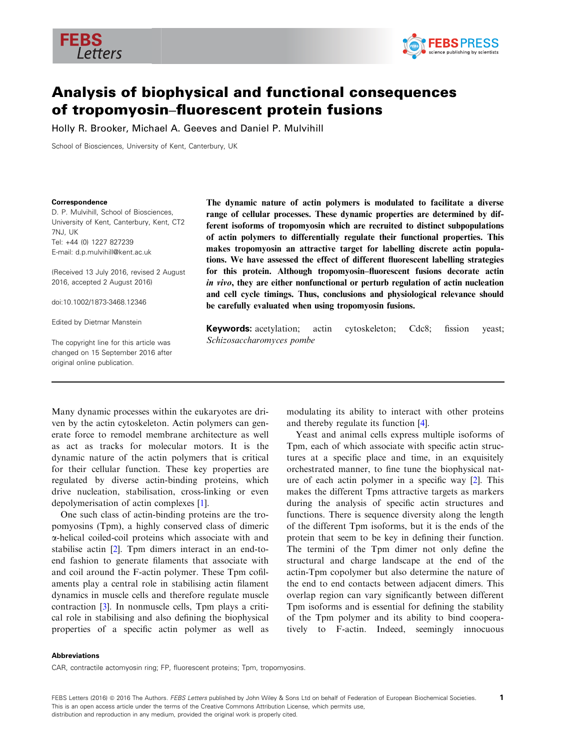



### Analysis of biophysical and functional consequences of tropomyosin–fluorescent protein fusions

Holly R. Brooker, Michael A. Geeves and Daniel P. Mulvihill

School of Biosciences, University of Kent, Canterbury, UK

#### Correspondence

D. P. Mulvihill, School of Biosciences, University of Kent, Canterbury, Kent, CT2 7NJ, UK Tel: +44 (0) 1227 827239 E-mail: d.p.mulvihill@kent.ac.uk

(Received 13 July 2016, revised 2 August 2016, accepted 2 August 2016)

doi:10.1002/1873-3468.12346

Edited by Dietmar Manstein

The copyright line for this article was changed on 15 September 2016 after original online publication.

The dynamic nature of actin polymers is modulated to facilitate a diverse range of cellular processes. These dynamic properties are determined by different isoforms of tropomyosin which are recruited to distinct subpopulations of actin polymers to differentially regulate their functional properties. This makes tropomyosin an attractive target for labelling discrete actin populations. We have assessed the effect of different fluorescent labelling strategies for this protein. Although tropomyosin–fluorescent fusions decorate actin in vivo, they are either nonfunctional or perturb regulation of actin nucleation and cell cycle timings. Thus, conclusions and physiological relevance should be carefully evaluated when using tropomyosin fusions.

**Keywords:** acetylation; actin cytoskeleton; Cdc8; fission yeast; Schizosaccharomyces pombe

Many dynamic processes within the eukaryotes are driven by the actin cytoskeleton. Actin polymers can generate force to remodel membrane architecture as well as act as tracks for molecular motors. It is the dynamic nature of the actin polymers that is critical for their cellular function. These key properties are regulated by diverse actin-binding proteins, which drive nucleation, stabilisation, cross-linking or even depolymerisation of actin complexes [[1](#page-8-0)].

One such class of actin-binding proteins are the tropomyosins (Tpm), a highly conserved class of dimeric a-helical coiled-coil proteins which associate with and stabilise actin [[2\]](#page-8-0). Tpm dimers interact in an end-toend fashion to generate filaments that associate with and coil around the F-actin polymer. These Tpm cofilaments play a central role in stabilising actin filament dynamics in muscle cells and therefore regulate muscle contraction [[3\]](#page-8-0). In nonmuscle cells, Tpm plays a critical role in stabilising and also defining the biophysical properties of a specific actin polymer as well as

modulating its ability to interact with other proteins and thereby regulate its function [\[4](#page-8-0)].

Yeast and animal cells express multiple isoforms of Tpm, each of which associate with specific actin structures at a specific place and time, in an exquisitely orchestrated manner, to fine tune the biophysical nature of each actin polymer in a specific way [\[2](#page-8-0)]. This makes the different Tpms attractive targets as markers during the analysis of specific actin structures and functions. There is sequence diversity along the length of the different Tpm isoforms, but it is the ends of the protein that seem to be key in defining their function. The termini of the Tpm dimer not only define the structural and charge landscape at the end of the actin-Tpm copolymer but also determine the nature of the end to end contacts between adjacent dimers. This overlap region can vary significantly between different Tpm isoforms and is essential for defining the stability of the Tpm polymer and its ability to bind cooperatively to F-actin. Indeed, seemingly innocuous

#### Abbreviations

CAR, contractile actomyosin ring; FP, fluorescent proteins; Tpm, tropomyosins.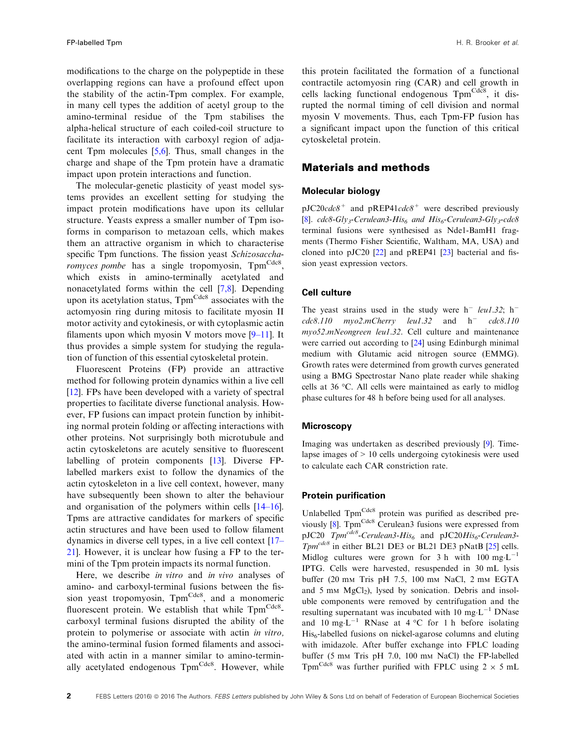<span id="page-2-0"></span>modifications to the charge on the polypeptide in these overlapping regions can have a profound effect upon the stability of the actin-Tpm complex. For example, in many cell types the addition of acetyl group to the amino-terminal residue of the Tpm stabilises the alpha-helical structure of each coiled-coil structure to facilitate its interaction with carboxyl region of adjacent Tpm molecules [[5,6\]](#page-8-0). Thus, small changes in the charge and shape of the Tpm protein have a dramatic impact upon protein interactions and function.

The molecular-genetic plasticity of yeast model systems provides an excellent setting for studying the impact protein modifications have upon its cellular structure. Yeasts express a smaller number of Tpm isoforms in comparison to metazoan cells, which makes them an attractive organism in which to characterise specific Tpm functions. The fission yeast Schizosaccharomyces pombe has a single tropomyosin, Tpm<sup>Cdc8</sup>, which exists in amino-terminally acetylated and nonacetylated forms within the cell [[7,8\]](#page-9-0). Depending upon its acetylation status, Tpm<sup>Cdc8</sup> associates with the actomyosin ring during mitosis to facilitate myosin II motor activity and cytokinesis, or with cytoplasmic actin filaments upon which myosin V motors move  $[9-11]$  $[9-11]$  $[9-11]$  $[9-11]$ . It thus provides a simple system for studying the regulation of function of this essential cytoskeletal protein.

Fluorescent Proteins (FP) provide an attractive method for following protein dynamics within a live cell [\[12\]](#page-9-0). FPs have been developed with a variety of spectral properties to facilitate diverse functional analysis. However, FP fusions can impact protein function by inhibiting normal protein folding or affecting interactions with other proteins. Not surprisingly both microtubule and actin cytoskeletons are acutely sensitive to fluorescent labelling of protein components [[13](#page-9-0)]. Diverse FPlabelled markers exist to follow the dynamics of the actin cytoskeleton in a live cell context, however, many have subsequently been shown to alter the behaviour and organisation of the polymers within cells [\[14](#page-9-0)–16]. Tpms are attractive candidates for markers of specific actin structures and have been used to follow filament dynamics in diverse cell types, in a live cell context [[17](#page-9-0)– [21](#page-9-0)]. However, it is unclear how fusing a FP to the termini of the Tpm protein impacts its normal function.

Here, we describe *in vitro* and *in vivo* analyses of amino- and carboxyl-terminal fusions between the fission yeast tropomyosin, Tpm<sup>Cdc8</sup>, and a monomeric fluorescent protein. We establish that while TpmCdc8carboxyl terminal fusions disrupted the ability of the protein to polymerise or associate with actin in vitro, the amino-terminal fusion formed filaments and associated with actin in a manner similar to amino-terminally acetylated endogenous Tpm<sup>Cdc8</sup>. However, while

this protein facilitated the formation of a functional contractile actomyosin ring (CAR) and cell growth in cells lacking functional endogenous Tpm<sup>Cdc8</sup>, it disrupted the normal timing of cell division and normal myosin V movements. Thus, each Tpm-FP fusion has a significant impact upon the function of this critical cytoskeletal protein.

#### Materials and methods

#### Molecular biology

 $pJC20cdc8$ <sup>+</sup> and  $pREP41cdc8$ <sup>+</sup> were described previously [\[8\]](#page-9-0).  $cdc8-Gly_3$ -Cerulean3-His<sub>6</sub> and His<sub>6</sub>-Cerulean3-Gly<sub>3</sub>-cdc8 terminal fusions were synthesised as Nde1-BamH1 fragments (Thermo Fisher Scientific, Waltham, MA, USA) and cloned into pJC20 [[22](#page-9-0)] and pREP41 [[23](#page-9-0)] bacterial and fission yeast expression vectors.

#### Cell culture

The yeast strains used in the study were  $h^-$  leu1.32;  $h^$  $cdc8.110$  myo2.mCherry leu1.32 and h<sup>-</sup> cdc8.110 myo52.mNeongreen leu1.32. Cell culture and maintenance were carried out according to [\[24](#page-9-0)] using Edinburgh minimal medium with Glutamic acid nitrogen source (EMMG). Growth rates were determined from growth curves generated using a BMG Spectrostar Nano plate reader while shaking cells at 36 °C. All cells were maintained as early to midlog phase cultures for 48 h before being used for all analyses.

#### **Microscopy**

Imaging was undertaken as described previously [[9](#page-9-0)]. Timelapse images of > 10 cells undergoing cytokinesis were used to calculate each CAR constriction rate.

#### Protein purification

Unlabelled Tpm<sup>Cdc8</sup> protein was purified as described pre-viously [[8](#page-9-0)]. Tpm<sup>Cdc8</sup> Cerulean3 fusions were expressed from pJC20  $Tpm^{cdc8}$ -Cerulean3-His<sub>6</sub> and pJC20His<sub>6</sub>-Cerulean3- $Tpm^{cdc8}$  in either BL21 DE3 or BL21 DE3 pNatB  $[25]$  $[25]$  cells. Midlog cultures were grown for 3 h with  $100 \text{ mg} \cdot \text{L}^{-1}$ IPTG. Cells were harvested, resuspended in 30 mL lysis buffer  $(20 \text{ mm}$  Tris pH 7.5, 100 mm NaCl, 2 mm EGTA and 5 mm  $MgCl<sub>2</sub>$ ), lysed by sonication. Debris and insoluble components were removed by centrifugation and the resulting supernatant was incubated with  $10 \text{ mg} \cdot \text{L}^{-1}$  DNase and  $10 \text{ mg} \cdot \text{L}^{-1}$  RNase at 4 °C for 1 h before isolating  $His<sub>6</sub>$ -labelled fusions on nickel-agarose columns and eluting with imidazole. After buffer exchange into FPLC loading buffer (5 mm Tris pH 7.0, 100 mm NaCl) the FP-labelled Tpm<sup>Cdc8</sup> was further purified with FPLC using  $2 \times 5$  mL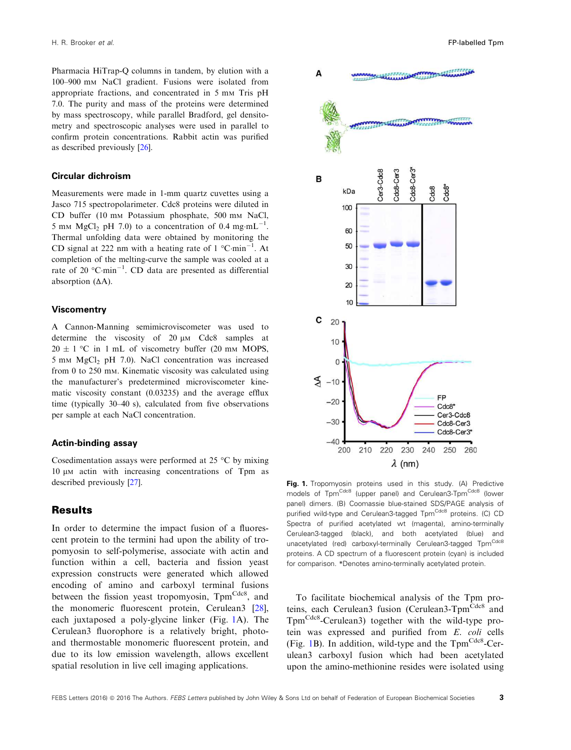<span id="page-3-0"></span>Pharmacia HiTrap-Q columns in tandem, by elution with a 100–900 m<sup>M</sup> NaCl gradient. Fusions were isolated from appropriate fractions, and concentrated in 5 mm Tris pH 7.0. The purity and mass of the proteins were determined by mass spectroscopy, while parallel Bradford, gel densitometry and spectroscopic analyses were used in parallel to confirm protein concentrations. Rabbit actin was purified as described previously [\[26\]](#page-9-0).

#### Circular dichroism

Measurements were made in 1-mm quartz cuvettes using a Jasco 715 spectropolarimeter. Cdc8 proteins were diluted in CD buffer (10 m<sup>M</sup> Potassium phosphate, 500 m<sup>M</sup> NaCl, 5 mm  $MgCl<sub>2</sub> pH 7.0)$  to a concentration of 0.4 mg·mL<sup>-1</sup>. Thermal unfolding data were obtained by monitoring the CD signal at 222 nm with a heating rate of  $1^{\circ}$ C·min<sup>-1</sup>. At completion of the melting-curve the sample was cooled at a rate of 20  $^{\circ}$ C·min<sup>-1</sup>. CD data are presented as differential absorption (∆A).

#### Viscomentry

A Cannon-Manning semimicroviscometer was used to determine the viscosity of  $20 \mu M$  Cdc8 samples at  $20 \pm 1$  °C in 1 mL of viscometry buffer (20 mm MOPS,  $5 \text{ mm } MgCl<sub>2</sub> \text{ pH } 7.0$ ). NaCl concentration was increased from 0 to 250 mm. Kinematic viscosity was calculated using the manufacturer's predetermined microviscometer kinematic viscosity constant (0.03235) and the average efflux time (typically 30–40 s), calculated from five observations per sample at each NaCl concentration.

#### Actin-binding assay

Cosedimentation assays were performed at 25 °C by mixing 10 μm actin with increasing concentrations of Tpm as described previously [\[27](#page-9-0)].

#### **Results**

In order to determine the impact fusion of a fluorescent protein to the termini had upon the ability of tropomyosin to self-polymerise, associate with actin and function within a cell, bacteria and fission yeast expression constructs were generated which allowed encoding of amino and carboxyl terminal fusions between the fission yeast tropomyosin, TpmCdc8, and the monomeric fluorescent protein, Cerulean3 [[28](#page-9-0)], each juxtaposed a poly-glycine linker (Fig. [1](#page-2-0)A). The Cerulean3 fluorophore is a relatively bright, photoand thermostable monomeric fluorescent protein, and due to its low emission wavelength, allows excellent spatial resolution in live cell imaging applications.



Fig. 1. Tropomyosin proteins used in this study. (A) Predictive models of Tpm<sup>Cdc8</sup> (upper panel) and Cerulean3-Tpm<sup>Cdc8</sup> (lower panel) dimers. (B) Coomassie blue-stained SDS/PAGE analysis of purified wild-type and Cerulean3-tagged TpmCdc8 proteins. (C) CD Spectra of purified acetylated wt (magenta), amino-terminally Cerulean3-tagged (black), and both acetylated (blue) and unacetylated (red) carboxyl-terminally Cerulean3-tagged TpmCdc8 proteins. A CD spectrum of a fluorescent protein (cyan) is included for comparison. \*Denotes amino-terminally acetylated protein.

To facilitate biochemical analysis of the Tpm proteins, each Cerulean3 fusion (Cerulean3-Tpm<sup>Cdc8</sup> and Tpm<sup>Cdc8</sup>-Cerulean3) together with the wild-type protein was expressed and purified from E. coli cells (Fig. [1B](#page-2-0)). In addition, wild-type and the  $Tpm<sup>Cdes</sup>-Cer$ ulean3 carboxyl fusion which had been acetylated upon the amino-methionine resides were isolated using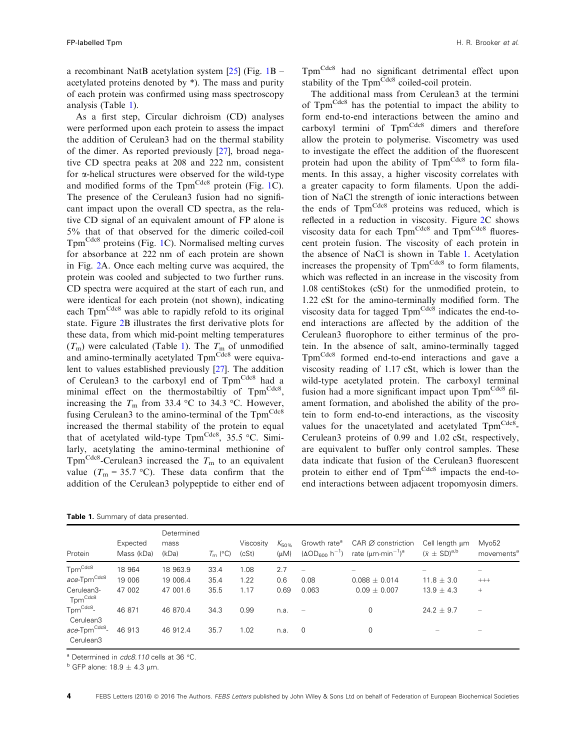<span id="page-4-0"></span>a recombinant NatB acetylation system  $[25]$  $[25]$  $[25]$  (Fig. [1B](#page-2-0) – acetylated proteins denoted by \*). The mass and purity of each protein was confirmed using mass spectroscopy analysis (Table [1](#page-3-0)).

As a first step, Circular dichroism (CD) analyses were performed upon each protein to assess the impact the addition of Cerulean3 had on the thermal stability of the dimer. As reported previously [\[27\]](#page-9-0), broad negative CD spectra peaks at 208 and 222 nm, consistent for  $\alpha$ -helical structures were observed for the wild-type and modified forms of the  $Tpm<sup>Cdc8</sup>$  protein (Fig. [1C](#page-2-0)). The presence of the Cerulean3 fusion had no significant impact upon the overall CD spectra, as the relative CD signal of an equivalent amount of FP alone is 5% that of that observed for the dimeric coiled-coil TpmCdc8 proteins (Fig. [1](#page-2-0)C). Normalised melting curves for absorbance at 222 nm of each protein are shown in Fig. 2A. Once each melting curve was acquired, the protein was cooled and subjected to two further runs. CD spectra were acquired at the start of each run, and were identical for each protein (not shown), indicating each Tpm<sup>Cdc8</sup> was able to rapidly refold to its original state. Figure 2B illustrates the first derivative plots for these data, from which mid-point melting temperatures  $(T<sub>m</sub>)$  were calculated (Table [1](#page-3-0)). The  $T<sub>m</sub>$  of unmodified and amino-terminally acetylated Tpm<sup>Cdc8</sup> were equivalent to values established previously [[27](#page-9-0)]. The addition of Cerulean3 to the carboxyl end of Tpm<sup>Cdc8</sup> had a minimal effect on the thermostabiltiy of TpmCdc8, increasing the  $T_m$  from 33.4 °C to 34.3 °C. However, fusing Cerulean3 to the amino-terminal of the  $Tpm<sup>Cdc8</sup>$ increased the thermal stability of the protein to equal that of acetylated wild-type  $Tpm<sup>Cdc8</sup>$ , 35.5 °C. Similarly, acetylating the amino-terminal methionine of Tpm<sup>Cdc8</sup>-Cerulean3 increased the  $T<sub>m</sub>$  to an equivalent value  $(T_m = 35.7 \text{ °C})$ . These data confirm that the addition of the Cerulean3 polypeptide to either end of

| Table 1. Summary of data presented. |  |  |
|-------------------------------------|--|--|
|-------------------------------------|--|--|

TpmCdc8 had no significant detrimental effect upon stability of the Tpm<sup>Cdc8</sup> coiled-coil protein.

The additional mass from Cerulean3 at the termini of TpmCdc8 has the potential to impact the ability to form end-to-end interactions between the amino and carboxyl termini of  $Tpm<sup>Cdc8</sup>$  dimers and therefore allow the protein to polymerise. Viscometry was used to investigate the effect the addition of the fluorescent protein had upon the ability of Tpm<sup>Cdc8</sup> to form filaments. In this assay, a higher viscosity correlates with a greater capacity to form filaments. Upon the addition of NaCl the strength of ionic interactions between the ends of Tpm<sup>Cdc8</sup> proteins was reduced, which is reflected in a reduction in viscosity. Figure 2C shows viscosity data for each Tpm<sup>Cdc8</sup> and Tpm<sup>Cdc8</sup> fluorescent protein fusion. The viscosity of each protein in the absence of NaCl is shown in Table [1.](#page-3-0) Acetylation increases the propensity of  $Tpm<sup>Cdc8</sup>$  to form filaments, which was reflected in an increase in the viscosity from 1.08 centiStokes (cSt) for the unmodified protein, to 1.22 cSt for the amino-terminally modified form. The viscosity data for tagged  $Tpm<sup>Cdc8</sup>$  indicates the end-toend interactions are affected by the addition of the Cerulean3 fluorophore to either terminus of the protein. In the absence of salt, amino-terminally tagged Tpm<sup>Cdc8</sup> formed end-to-end interactions and gave a viscosity reading of 1.17 cSt, which is lower than the wild-type acetylated protein. The carboxyl terminal fusion had a more significant impact upon Tpm<sup>Cdc8</sup> filament formation, and abolished the ability of the protein to form end-to-end interactions, as the viscosity values for the unacetylated and acetylated Tpm<sup>Cdc8</sup>-Cerulean3 proteins of 0.99 and 1.02 cSt, respectively, are equivalent to buffer only control samples. These data indicate that fusion of the Cerulean3 fluorescent protein to either end of Tpm<sup>Cdc8</sup> impacts the end-toend interactions between adjacent tropomyosin dimers.

| Protein                                        | Expected<br>Mass (kDa) | Determined<br>mass<br>(kDa) | $T_{\rm m}$ (°C) | Viscosity<br>(cSt) | $K_{50\%}$<br>(uM) | Growth rate <sup>a</sup>         | CAR Ø constriction<br>$(\Delta OD_{600} h^{-1})$ rate $(\mu m \cdot min^{-1})^a$ | Cell lenath um<br>$(\bar{x} \pm SD)^{a,b}$ | Myo52<br>movements <sup>a</sup> |
|------------------------------------------------|------------------------|-----------------------------|------------------|--------------------|--------------------|----------------------------------|----------------------------------------------------------------------------------|--------------------------------------------|---------------------------------|
| Tpm <sup>Cdc8</sup><br>ace-Tpm <sup>Cdc8</sup> | 18 964<br>19 006       | 18 963.9<br>19 006.4        | 33.4<br>35.4     | 1.08<br>1.22       | 2.7<br>0.6         | $\overline{\phantom{0}}$<br>0.08 | $\qquad \qquad$<br>$0.088 \pm 0.014$                                             | $11.8 \pm 3.0$                             | $^{+++}$                        |
| Cerulean3-<br>Tpm <sup>Cdc8</sup>              | 47 002                 | 47 001.6                    | 35.5             | 1.17               | 0.69               | 0.063                            | $0.09 + 0.007$                                                                   | $13.9 + 4.3$                               | $+$                             |
| $Tpm^{Cdc8}$ -<br>Cerulean3                    | 46 871                 | 46 870.4                    | 34.3             | 0.99               | n.a.               | $\sim$                           | $\Omega$                                                                         | $24.2 + 9.7$                               | $\overline{\phantom{m}}$        |
| ace-Tpm <sup>Cdc8</sup> -<br>Cerulean3         | 46 913                 | 46 912.4                    | 35.7             | 1.02               | n.a.               | $\overline{0}$                   | 0                                                                                |                                            | $\overline{\phantom{0}}$        |

<sup>a</sup> Determined in cdc8.110 cells at 36 °C.

 $b$  GFP alone: 18.9  $\pm$  4.3 µm.

4 FEBS Letters (2016) @ 2016 The Authors. FEBS Letters published by John Wiley & Sons Ltd on behalf of Federation of European Biochemical Societies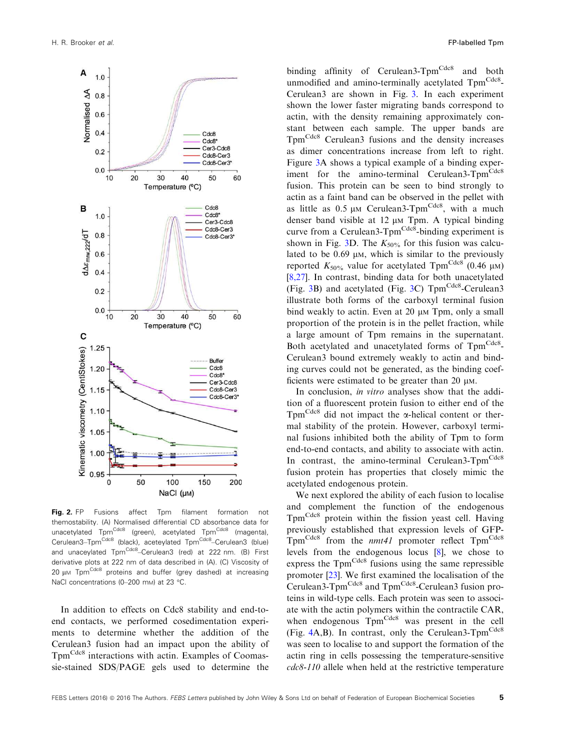<span id="page-5-0"></span>

Fig. 2. FP Fusions affect Tpm filament formation not themostability. (A) Normalised differential CD absorbance data for unacetylated Tpm<sup>Cdc8</sup> (green), acetylated Tpm<sup>Cdc8</sup> (magenta), Cerulean3-Tpm<sup>Cdc8</sup> (black), aceteylated Tpm<sup>Cdc8</sup>-Cerulean3 (blue) and unaceylated Tpm<sup>Cdc8</sup>–Cerulean3 (red) at 222 nm. (B) First derivative plots at 222 nm of data described in (A). (C) Viscosity of  $20 \mu$ M Tpm<sup>Cdc8</sup> proteins and buffer (grey dashed) at increasing NaCl concentrations (0-200 mm) at 23 °C.

In addition to effects on Cdc8 stability and end-toend contacts, we performed cosedimentation experiments to determine whether the addition of the Cerulean3 fusion had an impact upon the ability of Tpm<sup>Cdc8</sup> interactions with actin. Examples of Coomassie-stained SDS/PAGE gels used to determine the

binding affinity of Cerulean3-Tpm<sup>Cdc8</sup> and both unmodified and amino-terminally acetylated TpmCdc8-Cerulean3 are shown in Fig. 3. In each experiment shown the lower faster migrating bands correspond to actin, with the density remaining approximately constant between each sample. The upper bands are Tpm<sup>Cdc8</sup> Cerulean3 fusions and the density increases as dimer concentrations increase from left to right. Figure 3A shows a typical example of a binding experiment for the amino-terminal Cerulean3-Tpm<sup>Cdc8</sup> fusion. This protein can be seen to bind strongly to actin as a faint band can be observed in the pellet with as little as  $0.5 \mu M$  Cerulean3-Tpm<sup>Cdc8</sup>, with a much denser band visible at 12  $\mu$ M Tpm. A typical binding curve from a Cerulean3- $Tpm<sup>Cdc8</sup>$ -binding experiment is shown in Fig. 3D. The  $K_{50\%}$  for this fusion was calculated to be  $0.69 \mu M$ , which is similar to the previously reported  $K_{50\%}$  value for acetylated Tpm<sup>Cdc8</sup> (0.46  $\mu$ M) [[8,27](#page-9-0)]. In contrast, binding data for both unacetylated (Fig. 3B) and acetylated (Fig. 3C)  $Tpm<sup>Cdc8</sup>$ -Cerulean3 illustrate both forms of the carboxyl terminal fusion bind weakly to actin. Even at  $20 \mu M$  Tpm, only a small proportion of the protein is in the pellet fraction, while a large amount of Tpm remains in the supernatant. Both acetylated and unacetylated forms of TpmCdc8. Cerulean3 bound extremely weakly to actin and binding curves could not be generated, as the binding coefficients were estimated to be greater than  $20 \mu$ M.

In conclusion, in vitro analyses show that the addition of a fluorescent protein fusion to either end of the Tpm<sup>Cdc8</sup> did not impact the  $\alpha$ -helical content or thermal stability of the protein. However, carboxyl terminal fusions inhibited both the ability of Tpm to form end-to-end contacts, and ability to associate with actin. In contrast, the amino-terminal Cerulean3-Tpm<sup>Cdc8</sup> fusion protein has properties that closely mimic the acetylated endogenous protein.

We next explored the ability of each fusion to localise and complement the function of the endogenous Tpm<sup>Cdc8</sup> protein within the fission yeast cell. Having previously established that expression levels of GFP- $Tpm<sup>Cdc8</sup>$  from the *nmt41* promoter reflect  $Tpm<sup>Cdc8</sup>$ levels from the endogenous locus [\[8](#page-9-0)], we chose to express the  $Tpm<sup>Cdc8</sup>$  fusions using the same repressible promoter [[23](#page-9-0)]. We first examined the localisation of the Cerulean3-Tpm<sup>Cdc8</sup> and Tpm<sup>Cdc8</sup>-Cerulean3 fusion proteins in wild-type cells. Each protein was seen to associate with the actin polymers within the contractile CAR, when endogenous Tpm<sup>Cdc8</sup> was present in the cell (Fig.  $4A,B$  $4A,B$ ). In contrast, only the Cerulean3-Tpm<sup>Cdc8</sup> was seen to localise to and support the formation of the actin ring in cells possessing the temperature-sensitive cdc8-110 allele when held at the restrictive temperature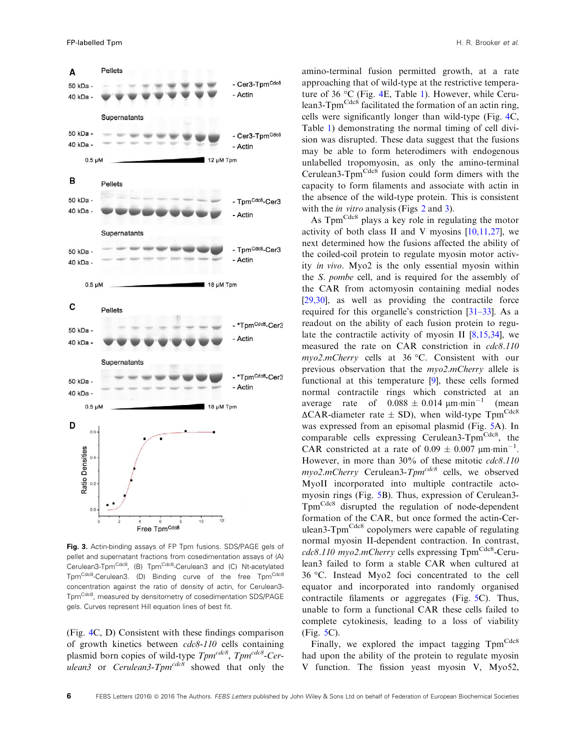<span id="page-6-0"></span>

Fig. 3. Actin-binding assays of FP Tpm fusions. SDS/PAGE gels of pellet and supernatant fractions from cosedimentation assays of (A) Cerulean3-Tpm<sup>Cdc8</sup>, (B) Tpm<sup>Cdc8</sup>-Cerulean3 and (C) Nt-acetylated Tpm<sup>Cdc8</sup>-Cerulean3. (D) Binding curve of the free Tpm<sup>Cdc8</sup> concentration against the ratio of density of actin, for Cerulean3- Tpm<sup>Cdc8</sup>, measured by densitometry of cosedimentation SDS/PAGE gels. Curves represent Hill equation lines of best fit.

(Fig. 4C, D) Consistent with these findings comparison of growth kinetics between cdc8-110 cells containing plasmid born copies of wild-type Tpm<sup>cdc8</sup>, Tpm<sup>cdc8</sup>-Cerulean3 or Cerulean3-Tpm<sup>cdc8</sup> showed that only the

amino-terminal fusion permitted growth, at a rate approaching that of wild-type at the restrictive temperature of 36 °C (Fig. 4E, Table [1\)](#page-3-0). However, while Cerulean3-Tpm<sup>Cdc8</sup> facilitated the formation of an actin ring, cells were significantly longer than wild-type (Fig. 4C, Table [1](#page-3-0)) demonstrating the normal timing of cell division was disrupted. These data suggest that the fusions may be able to form heterodimers with endogenous unlabelled tropomyosin, as only the amino-terminal Cerulean3- $Tpm<sup>Cdcs</sup>$  fusion could form dimers with the capacity to form filaments and associate with actin in the absence of the wild-type protein. This is consistent with the *in vitro* analysis (Figs [2](#page-4-0) and [3\)](#page-5-0).

As  $Tpm<sup>Cdc8</sup>$  plays a key role in regulating the motor activity of both class II and V myosins  $[10,11,27]$  $[10,11,27]$  $[10,11,27]$ , we next determined how the fusions affected the ability of the coiled-coil protein to regulate myosin motor activity in vivo. Myo2 is the only essential myosin within the S. pombe cell, and is required for the assembly of the CAR from actomyosin containing medial nodes [\[29,30\]](#page-9-0), as well as providing the contractile force required for this organelle's constriction [[31](#page-9-0)–[33\]](#page-9-0). As a readout on the ability of each fusion protein to regulate the contractile activity of myosin II [\[8,15,34](#page-9-0)], we measured the rate on CAR constriction in cdc8.110 myo2.mCherry cells at 36 °C. Consistent with our previous observation that the myo2.mCherry allele is functional at this temperature [\[9\]](#page-9-0), these cells formed normal contractile rings which constricted at an average rate of  $0.088 \pm 0.014 \text{ µm} \cdot \text{min}^{-1}$ (mean  $\Delta$ CAR-diameter rate  $\pm$  SD), when wild-type Tpm<sup>Cdc8</sup> was expressed from an episomal plasmid (Fig. [5A](#page-7-0)). In comparable cells expressing Cerulean3-Tpm<sup>Cdc8</sup>, the CAR constricted at a rate of  $0.09 \pm 0.007$   $\mu$ m·min<sup>-1</sup>. However, in more than 30% of these mitotic cdc8.110  $mvo2.mCherry$  Cerulean3- $Tpm<sup>cdc8</sup>$  cells, we observed MyoII incorporated into multiple contractile actomyosin rings (Fig. [5](#page-7-0)B). Thus, expression of Cerulean3- TpmCdc8 disrupted the regulation of node-dependent formation of the CAR, but once formed the actin-Cerulean3-Tpm<sup>Cdc8</sup> copolymers were capable of regulating normal myosin II-dependent contraction. In contrast,  $cdc8.110$  myo2.mCherry cells expressing Tpm<sup>Cdc8</sup>-Cerulean3 failed to form a stable CAR when cultured at 36 °C. Instead Myo2 foci concentrated to the cell equator and incorporated into randomly organised contractile filaments or aggregates (Fig. [5](#page-7-0)C). Thus, unable to form a functional CAR these cells failed to complete cytokinesis, leading to a loss of viability (Fig. [5](#page-7-0)C).

Finally, we explored the impact tagging TpmCdc8 had upon the ability of the protein to regulate myosin V function. The fission yeast myosin V, Myo52,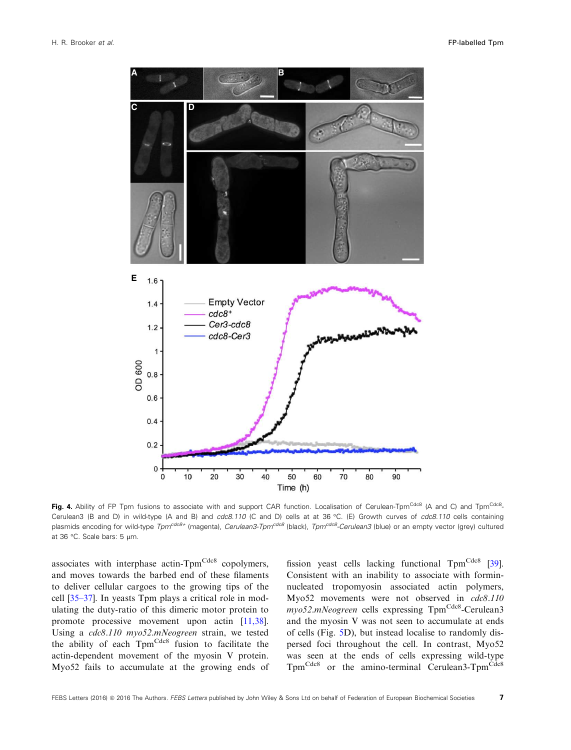<span id="page-7-0"></span>

**Fig. 4.** Ability of FP Tpm fusions to associate with and support CAR function. Localisation of Cerulean-Tpm<sup>Cdc8</sup> (A and C) and Tpm<sup>Cdc8</sup>. Cerulean3 (B and D) in wild-type (A and B) and cdc8.110 (C and D) cells at at 36 °C. (E) Growth curves of cdc8.110 cells containing plasmids encoding for wild-type Tpm<sup>cdc8+</sup> (magenta), Cerulean3-Tpm<sup>cdc8</sup> (black), Tpm<sup>cdc8</sup>-Cerulean3 (blue) or an empty vector (grey) cultured at 36 °C. Scale bars: 5  $\mu$ m.

associates with interphase actin-Tpm<sup>Cdc8</sup> copolymers, and moves towards the barbed end of these filaments to deliver cellular cargoes to the growing tips of the cell [[35](#page-10-0)–[37\]](#page-10-0). In yeasts Tpm plays a critical role in modulating the duty-ratio of this dimeric motor protein to promote processive movement upon actin [[11,38](#page-9-0)]. Using a cdc8.110 myo52.mNeogreen strain, we tested the ability of each Tpm<sup>Cdc8</sup> fusion to facilitate the actin-dependent movement of the myosin V protein. Myo52 fails to accumulate at the growing ends of fission yeast cells lacking functional  $Tpm<sup>Cdc8</sup>$  [[39](#page-10-0)]. Consistent with an inability to associate with forminnucleated tropomyosin associated actin polymers, Myo52 movements were not observed in cdc8.110 myo52.mNeogreen cells expressing Tpm<sup>Cdc8</sup>-Cerulean3 and the myosin V was not seen to accumulate at ends of cells (Fig. 5D), but instead localise to randomly dispersed foci throughout the cell. In contrast, Myo52 was seen at the ends of cells expressing wild-type Tpm<sup>Cdc8</sup> or the amino-terminal Cerulean3-Tpm<sup>Cdc8</sup>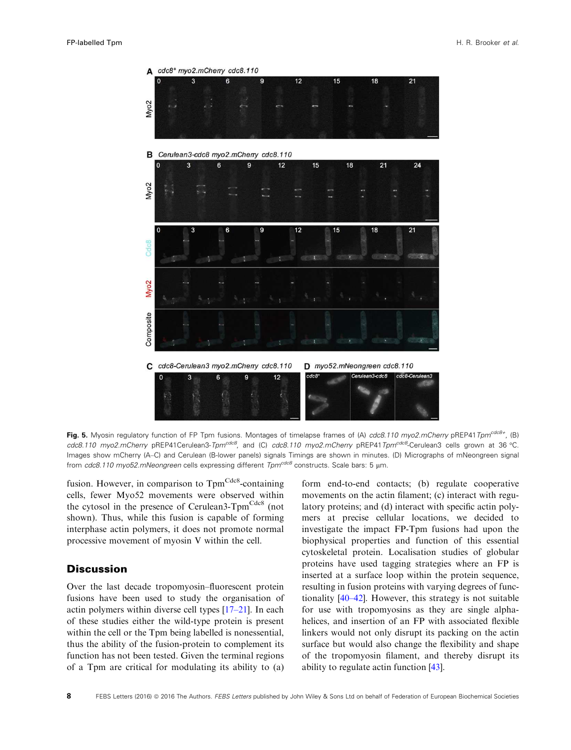<span id="page-8-0"></span>

Fig. 5. Myosin regulatory function of FP Tpm fusions. Montages of timelapse frames of (A) cdc8.110 myo2.mCherry pREP41Tpm<sup>cdc8+</sup>, (B) cdc8.110 myo2.mCherry pREP41Cerulean3-Tpm<sup>cdc8</sup>, and (C) cdc8.110 myo2.mCherry pREP41Tpm<sup>cdc8</sup>-Cerulean3 cells grown at 36 °C. Images show mCherry (A–C) and Cerulean (B-lower panels) signals Timings are shown in minutes. (D) Micrographs of mNeongreen signal from cdc8.110 myo52.mNeongreen cells expressing different  $Tpm^{cdc8}$  constructs. Scale bars: 5 µm.

fusion. However, in comparison to  $Tpm<sup>Cdc8</sup>$ -containing cells, fewer Myo52 movements were observed within the cytosol in the presence of Cerulean3-Tpm<sup>Cdc8</sup> (not shown). Thus, while this fusion is capable of forming interphase actin polymers, it does not promote normal processive movement of myosin V within the cell.

#### **Discussion**

Over the last decade tropomyosin–fluorescent protein fusions have been used to study the organisation of actin polymers within diverse cell types [\[17](#page-9-0)–21]. In each of these studies either the wild-type protein is present within the cell or the Tpm being labelled is nonessential, thus the ability of the fusion-protein to complement its function has not been tested. Given the terminal regions of a Tpm are critical for modulating its ability to (a)

form end-to-end contacts; (b) regulate cooperative movements on the actin filament; (c) interact with regulatory proteins; and (d) interact with specific actin polymers at precise cellular locations, we decided to investigate the impact FP-Tpm fusions had upon the biophysical properties and function of this essential cytoskeletal protein. Localisation studies of globular proteins have used tagging strategies where an FP is inserted at a surface loop within the protein sequence, resulting in fusion proteins with varying degrees of functionality [[40](#page-10-0)–[42\]](#page-10-0). However, this strategy is not suitable for use with tropomyosins as they are single alphahelices, and insertion of an FP with associated flexible linkers would not only disrupt its packing on the actin surface but would also change the flexibility and shape of the tropomyosin filament, and thereby disrupt its ability to regulate actin function [[43](#page-10-0)].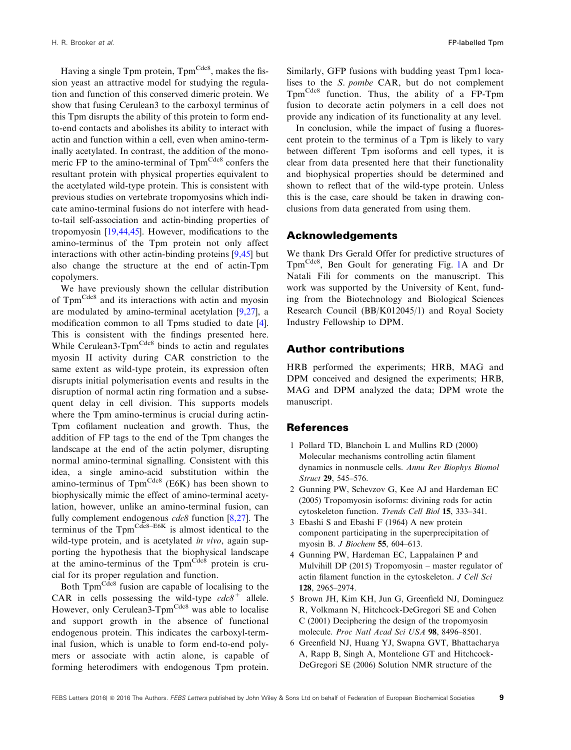<span id="page-9-0"></span>Having a single Tpm protein,  $Tpm<sup>Cdc8</sup>$ , makes the fission yeast an attractive model for studying the regulation and function of this conserved dimeric protein. We show that fusing Cerulean3 to the carboxyl terminus of this Tpm disrupts the ability of this protein to form endto-end contacts and abolishes its ability to interact with actin and function within a cell, even when amino-terminally acetylated. In contrast, the addition of the monomeric FP to the amino-terminal of Tpm<sup>Cdc8</sup> confers the resultant protein with physical properties equivalent to the acetylated wild-type protein. This is consistent with previous studies on vertebrate tropomyosins which indicate amino-terminal fusions do not interfere with headto-tail self-association and actin-binding properties of tropomyosin [19,44,45]. However, modifications to the amino-terminus of the Tpm protein not only affect interactions with other actin-binding proteins [9,45] but also change the structure at the end of actin-Tpm copolymers.

We have previously shown the cellular distribution of Tpm<sup>Cdc8</sup> and its interactions with actin and myosin are modulated by amino-terminal acetylation [9,27], a modification common to all Tpms studied to date [\[4](#page-8-0)]. This is consistent with the findings presented here. While Cerulean3-Tpm<sup>Cdc8</sup> binds to actin and regulates myosin II activity during CAR constriction to the same extent as wild-type protein, its expression often disrupts initial polymerisation events and results in the disruption of normal actin ring formation and a subsequent delay in cell division. This supports models where the Tpm amino-terminus is crucial during actin-Tpm cofilament nucleation and growth. Thus, the addition of FP tags to the end of the Tpm changes the landscape at the end of the actin polymer, disrupting normal amino-terminal signalling. Consistent with this idea, a single amino-acid substitution within the amino-terminus of  $Tpm<sup>Cdc8</sup>$  (E6K) has been shown to biophysically mimic the effect of amino-terminal acetylation, however, unlike an amino-terminal fusion, can fully complement endogenous  $cdc8$  function [8,27]. The terminus of the  $Tpm^{Cdc8-E6K}$  is almost identical to the wild-type protein, and is acetylated in vivo, again supporting the hypothesis that the biophysical landscape at the amino-terminus of the  $Tpm<sup>Cdc8</sup>$  protein is crucial for its proper regulation and function.

Both Tpm<sup>Cdc8</sup> fusion are capable of localising to the CAR in cells possessing the wild-type  $cdc\delta^+$  allele. However, only Cerulean3-Tpm<sup>Cdc8</sup> was able to localise and support growth in the absence of functional endogenous protein. This indicates the carboxyl-terminal fusion, which is unable to form end-to-end polymers or associate with actin alone, is capable of forming heterodimers with endogenous Tpm protein.

Similarly, GFP fusions with budding yeast Tpm1 localises to the S. pombe CAR, but do not complement TpmCdc8 function. Thus, the ability of a FP-Tpm fusion to decorate actin polymers in a cell does not provide any indication of its functionality at any level.

In conclusion, while the impact of fusing a fluorescent protein to the terminus of a Tpm is likely to vary between different Tpm isoforms and cell types, it is clear from data presented here that their functionality and biophysical properties should be determined and shown to reflect that of the wild-type protein. Unless this is the case, care should be taken in drawing conclusions from data generated from using them.

#### Acknowledgements

We thank Drs Gerald Offer for predictive structures of TpmCdc8, Ben Goult for generating Fig. [1](#page-2-0)A and Dr Natali Fili for comments on the manuscript. This work was supported by the University of Kent, funding from the Biotechnology and Biological Sciences Research Council (BB/K012045/1) and Royal Society Industry Fellowship to DPM.

#### Author contributions

HRB performed the experiments; HRB, MAG and DPM conceived and designed the experiments; HRB, MAG and DPM analyzed the data; DPM wrote the manuscript.

#### References

- 1 Pollard TD, Blanchoin L and Mullins RD (2000) Molecular mechanisms controlling actin filament dynamics in nonmuscle cells. Annu Rev Biophys Biomol Struct 29, 545–576.
- 2 Gunning PW, Schevzov G, Kee AJ and Hardeman EC (2005) Tropomyosin isoforms: divining rods for actin cytoskeleton function. Trends Cell Biol 15, 333–341.
- 3 Ebashi S and Ebashi F (1964) A new protein component participating in the superprecipitation of myosin B. J Biochem 55, 604–613.
- 4 Gunning PW, Hardeman EC, Lappalainen P and Mulvihill DP (2015) Tropomyosin – master regulator of actin filament function in the cytoskeleton. J Cell Sci 128, 2965–2974.
- 5 Brown JH, Kim KH, Jun G, Greenfield NJ, Dominguez R, Volkmann N, Hitchcock-DeGregori SE and Cohen C (2001) Deciphering the design of the tropomyosin molecule. Proc Natl Acad Sci USA 98, 8496–8501.
- 6 Greenfield NJ, Huang YJ, Swapna GVT, Bhattacharya A, Rapp B, Singh A, Montelione GT and Hitchcock-DeGregori SE (2006) Solution NMR structure of the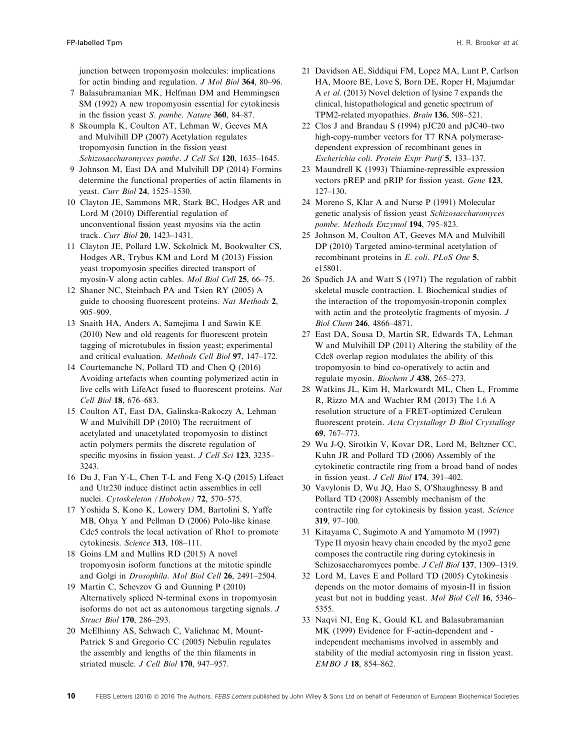<span id="page-10-0"></span>junction between tropomyosin molecules: implications for actin binding and regulation. J Mol Biol 364, 80–96.

- 7 Balasubramanian MK, Helfman DM and Hemmingsen SM (1992) A new tropomyosin essential for cytokinesis in the fission yeast S. pombe. Nature 360, 84–87.
- 8 Skoumpla K, Coulton AT, Lehman W, Geeves MA and Mulvihill DP (2007) Acetylation regulates tropomyosin function in the fission yeast Schizosaccharomyces pombe. J Cell Sci 120, 1635–1645.
- 9 Johnson M, East DA and Mulvihill DP (2014) Formins determine the functional properties of actin filaments in yeast. Curr Biol 24, 1525–1530.
- 10 Clayton JE, Sammons MR, Stark BC, Hodges AR and Lord M (2010) Differential regulation of unconventional fission yeast myosins via the actin track. Curr Biol 20, 1423–1431.
- 11 Clayton JE, Pollard LW, Sckolnick M, Bookwalter CS, Hodges AR, Trybus KM and Lord M (2013) Fission yeast tropomyosin specifies directed transport of myosin-V along actin cables. Mol Biol Cell 25, 66–75.
- 12 Shaner NC, Steinbach PA and Tsien RY (2005) A guide to choosing fluorescent proteins. Nat Methods 2, 905–909.
- 13 Snaith HA, Anders A, Samejima I and Sawin KE (2010) New and old reagents for fluorescent protein tagging of microtubules in fission yeast; experimental and critical evaluation. Methods Cell Biol 97, 147–172.
- 14 Courtemanche N, Pollard TD and Chen Q (2016) Avoiding artefacts when counting polymerized actin in live cells with LifeAct fused to fluorescent proteins. Nat Cell Biol 18, 676–683.
- 15 Coulton AT, East DA, Galinska-Rakoczy A, Lehman W and Mulvihill DP (2010) The recruitment of acetylated and unacetylated tropomyosin to distinct actin polymers permits the discrete regulation of specific myosins in fission yeast. J Cell Sci 123, 3235– 3243.
- 16 Du J, Fan Y-L, Chen T-L and Feng X-Q (2015) Lifeact and Utr230 induce distinct actin assemblies in cell nuclei. Cytoskeleton (Hoboken) 72, 570–575.
- 17 Yoshida S, Kono K, Lowery DM, Bartolini S, Yaffe MB, Ohya Y and Pellman D (2006) Polo-like kinase Cdc5 controls the local activation of Rho1 to promote cytokinesis. Science 313, 108–111.
- 18 Goins LM and Mullins RD (2015) A novel tropomyosin isoform functions at the mitotic spindle and Golgi in Drosophila. Mol Biol Cell 26, 2491–2504.
- 19 Martin C, Schevzov G and Gunning P (2010) Alternatively spliced N-terminal exons in tropomyosin isoforms do not act as autonomous targeting signals. J Struct Biol 170, 286–293.
- 20 McElhinny AS, Schwach C, Valichnac M, Mount-Patrick S and Gregorio CC (2005) Nebulin regulates the assembly and lengths of the thin filaments in striated muscle. J Cell Biol 170, 947–957.
- 21 Davidson AE, Siddiqui FM, Lopez MA, Lunt P, Carlson HA, Moore BE, Love S, Born DE, Roper H, Majumdar A et al. (2013) Novel deletion of lysine 7 expands the clinical, histopathological and genetic spectrum of TPM2-related myopathies. Brain 136, 508–521.
- 22 Clos J and Brandau S (1994) pJC20 and pJC40–two high-copy-number vectors for T7 RNA polymerasedependent expression of recombinant genes in Escherichia coli. Protein Expr Purif 5, 133–137.
- 23 Maundrell K (1993) Thiamine-repressible expression vectors pREP and pRIP for fission yeast. Gene 123, 127–130.
- 24 Moreno S, Klar A and Nurse P (1991) Molecular genetic analysis of fission yeast Schizosaccharomyces pombe. Methods Enzymol 194, 795–823.
- 25 Johnson M, Coulton AT, Geeves MA and Mulvihill DP (2010) Targeted amino-terminal acetylation of recombinant proteins in E. coli. PLoS One 5, e15801.
- 26 Spudich JA and Watt S (1971) The regulation of rabbit skeletal muscle contraction. I. Biochemical studies of the interaction of the tropomyosin-troponin complex with actin and the proteolytic fragments of myosin. J Biol Chem 246, 4866–4871.
- 27 East DA, Sousa D, Martin SR, Edwards TA, Lehman W and Mulvihill DP (2011) Altering the stability of the Cdc8 overlap region modulates the ability of this tropomyosin to bind co-operatively to actin and regulate myosin. Biochem J 438, 265-273.
- 28 Watkins JL, Kim H, Markwardt ML, Chen L, Fromme R, Rizzo MA and Wachter RM (2013) The 1.6 A resolution structure of a FRET-optimized Cerulean fluorescent protein. Acta Crystallogr D Biol Crystallogr 69, 767–773.
- 29 Wu J-Q, Sirotkin V, Kovar DR, Lord M, Beltzner CC, Kuhn JR and Pollard TD (2006) Assembly of the cytokinetic contractile ring from a broad band of nodes in fission yeast. J Cell Biol 174, 391–402.
- 30 Vavylonis D, Wu JQ, Hao S, O'Shaughnessy B and Pollard TD (2008) Assembly mechanism of the contractile ring for cytokinesis by fission yeast. Science 319, 97–100.
- 31 Kitayama C, Sugimoto A and Yamamoto M (1997) Type II myosin heavy chain encoded by the myo2 gene composes the contractile ring during cytokinesis in Schizosaccharomyces pombe. J Cell Biol 137, 1309–1319.
- 32 Lord M, Laves E and Pollard TD (2005) Cytokinesis depends on the motor domains of myosin-II in fission yeast but not in budding yeast. Mol Biol Cell 16, 5346– 5355.
- 33 Naqvi NI, Eng K, Gould KL and Balasubramanian MK (1999) Evidence for F-actin-dependent and independent mechanisms involved in assembly and stability of the medial actomyosin ring in fission yeast. EMBO J 18, 854–862.